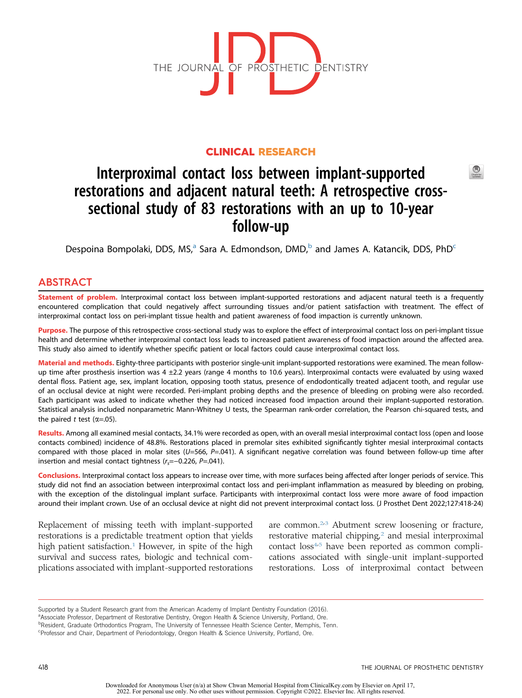

# CLINICAL RESEARCH

# Interproximal contact loss between implant-supported restorations and adjacent natural teeth: A retrospective crosssectional study of 83 restorations with an up to 10-year follow-up

Despoin[a](#page-0-0) Bompolaki, DDS, MS,<sup>a</sup> Sara A. Edmondson, DMD,<sup>b</sup> and James A. Katan[c](#page-0-2)ik, DDS, PhD<sup>c</sup>

# ABSTRACT

Statement of problem. Interproximal contact loss between implant-supported restorations and adjacent natural teeth is a frequently encountered complication that could negatively affect surrounding tissues and/or patient satisfaction with treatment. The effect of interproximal contact loss on peri-implant tissue health and patient awareness of food impaction is currently unknown.

Purpose. The purpose of this retrospective cross-sectional study was to explore the effect of interproximal contact loss on peri-implant tissue health and determine whether interproximal contact loss leads to increased patient awareness of food impaction around the affected area. This study also aimed to identify whether specific patient or local factors could cause interproximal contact loss.

Material and methods. Eighty-three participants with posterior single-unit implant-supported restorations were examined. The mean followup time after prosthesis insertion was 4 ±2.2 years (range 4 months to 10.6 years). Interproximal contacts were evaluated by using waxed dental floss. Patient age, sex, implant location, opposing tooth status, presence of endodontically treated adjacent tooth, and regular use of an occlusal device at night were recorded. Peri-implant probing depths and the presence of bleeding on probing were also recorded. Each participant was asked to indicate whether they had noticed increased food impaction around their implant-supported restoration. Statistical analysis included nonparametric Mann-Whitney U tests, the Spearman rank-order correlation, the Pearson chi-squared tests, and the paired t test ( $\alpha$ =.05).

Results. Among all examined mesial contacts, 34.1% were recorded as open, with an overall mesial interproximal contact loss (open and loose contacts combined) incidence of 48.8%. Restorations placed in premolar sites exhibited significantly tighter mesial interproximal contacts compared with those placed in molar sites ( $U=566$ ,  $P=.041$ ). A significant negative correlation was found between follow-up time after insertion and mesial contact tightness ( $r_s$ =−0.226, P=.041).

Conclusions. Interproximal contact loss appears to increase over time, with more surfaces being affected after longer periods of service. This study did not find an association between interproximal contact loss and peri-implant inflammation as measured by bleeding on probing, with the exception of the distolingual implant surface. Participants with interproximal contact loss were more aware of food impaction around their implant crown. Use of an occlusal device at night did not prevent interproximal contact loss. (J Prosthet Dent 2022;127:418-24)

Replacement of missing teeth with implant-supported restorations is a predictable treatment option that yields high patient satisfaction.<sup>[1](#page-6-0)</sup> However, in spite of the high survival and success rates, biologic and technical complications associated with implant-supported restorations are common. $23$  $23$  Abutment screw loosening or fracture, restorative material chipping, $^2$  $^2$  and mesial interproximal contact loss<sup>[4,](#page-6-3)[5](#page-6-4)</sup> have been reported as common complications associated with single-unit implant-supported restorations. Loss of interproximal contact between

<span id="page-0-1"></span><sup>b</sup>Resident, Graduate Orthodontics Program, The University of Tennessee Health Science Center, Memphis, Tenn.

 $\circledcirc$ 

Supported by a Student Research grant from the American Academy of Implant Dentistry Foundation (2016).

<span id="page-0-0"></span>a Associate Professor, Department of Restorative Dentistry, Oregon Health & Science University, Portland, Ore.

<span id="page-0-2"></span>c Professor and Chair, Department of Periodontology, Oregon Health & Science University, Portland, Ore.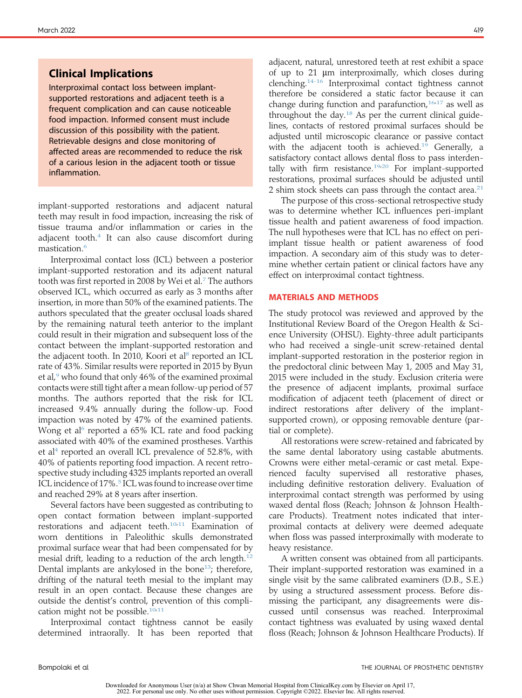# Clinical Implications

Interproximal contact loss between implantsupported restorations and adjacent teeth is a frequent complication and can cause noticeable food impaction. Informed consent must include discussion of this possibility with the patient. Retrievable designs and close monitoring of affected areas are recommended to reduce the risk of a carious lesion in the adjacent tooth or tissue inflammation.

implant-supported restorations and adjacent natural teeth may result in food impaction, increasing the risk of tissue trauma and/or inflammation or caries in the adjacent tooth. $4$  It can also cause discomfort during mastication.<sup>[6](#page-6-5)</sup>

Interproximal contact loss (ICL) between a posterior implant-supported restoration and its adjacent natural tooth was first reported in 2008 by Wei et al.<sup>[7](#page-6-6)</sup> The authors observed ICL, which occurred as early as 3 months after insertion, in more than 50% of the examined patients. The authors speculated that the greater occlusal loads shared by the remaining natural teeth anterior to the implant could result in their migration and subsequent loss of the contact between the implant-supported restoration and the adjacent tooth. In 2010, Koori et al<sup>s</sup> reported an ICL rate of 43%. Similar results were reported in 2015 by Byun et al, $9$  who found that only 46% of the examined proximal contacts were still tight after a mean follow-up period of 57 months. The authors reported that the risk for ICL increased 9.4% annually during the follow-up. Food impaction was noted by 47% of the examined patients. Wong et al<sup>6</sup> reported a  $65\%$  ICL rate and food packing associated with 40% of the examined prostheses. Varthis et al<sup>4</sup> reported an overall ICL prevalence of 52.8%, with 40% of patients reporting food impaction. A recent retrospective study including 4325 implants reported an overall ICL incidence of 17%.<sup>[5](#page-6-4)</sup> ICL was found to increase over time and reached 29% at 8 years after insertion.

Several factors have been suggested as contributing to open contact formation between implant-supported restorations and adjacent teeth.<sup>[10,](#page-6-9)[11](#page-6-10)</sup> Examination of worn dentitions in Paleolithic skulls demonstrated proximal surface wear that had been compensated for by mesial drift, leading to a reduction of the arch length.<sup>[12](#page-6-11)</sup> Dental implants are ankylosed in the bone<sup>[13](#page-6-12)</sup>; therefore, drifting of the natural teeth mesial to the implant may result in an open contact. Because these changes are outside the dentist's control, prevention of this compli-cation might not be possible.<sup>[10](#page-6-9)[,11](#page-6-10)</sup>

Interproximal contact tightness cannot be easily determined intraorally. It has been reported that adjacent, natural, unrestored teeth at rest exhibit a space of up to  $21 \mu m$  interproximally, which closes during clenching[.14-16](#page-6-13) Interproximal contact tightness cannot therefore be considered a static factor because it can change during function and parafunction,  $16.17$  $16.17$  as well as throughout the day. $18$  As per the current clinical guidelines, contacts of restored proximal surfaces should be adjusted until microscopic clearance or passive contact with the adjacent tooth is achieved.<sup>[19](#page-6-17)</sup> Generally, a satisfactory contact allows dental floss to pass interdentally with firm resistance. $19,20$  $19,20$  For implant-supported restorations, proximal surfaces should be adjusted until 2 shim stock sheets can pass through the contact area.<sup>[21](#page-6-19)</sup>

The purpose of this cross-sectional retrospective study was to determine whether ICL influences peri-implant tissue health and patient awareness of food impaction. The null hypotheses were that ICL has no effect on periimplant tissue health or patient awareness of food impaction. A secondary aim of this study was to determine whether certain patient or clinical factors have any effect on interproximal contact tightness.

## MATERIALS AND METHODS

The study protocol was reviewed and approved by the Institutional Review Board of the Oregon Health & Science University (OHSU). Eighty-three adult participants who had received a single-unit screw-retained dental implant-supported restoration in the posterior region in the predoctoral clinic between May 1, 2005 and May 31, 2015 were included in the study. Exclusion criteria were the presence of adjacent implants, proximal surface modification of adjacent teeth (placement of direct or indirect restorations after delivery of the implantsupported crown), or opposing removable denture (partial or complete).

All restorations were screw-retained and fabricated by the same dental laboratory using castable abutments. Crowns were either metal-ceramic or cast metal. Experienced faculty supervised all restorative phases, including definitive restoration delivery. Evaluation of interproximal contact strength was performed by using waxed dental floss (Reach; Johnson & Johnson Healthcare Products). Treatment notes indicated that interproximal contacts at delivery were deemed adequate when floss was passed interproximally with moderate to heavy resistance.

A written consent was obtained from all participants. Their implant-supported restoration was examined in a single visit by the same calibrated examiners (D.B., S.E.) by using a structured assessment process. Before dismissing the participant, any disagreements were discussed until consensus was reached. Interproximal contact tightness was evaluated by using waxed dental floss (Reach; Johnson & Johnson Healthcare Products). If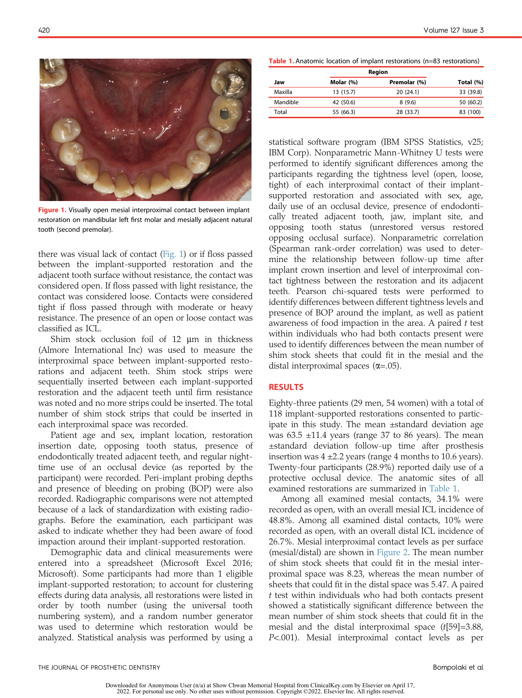<span id="page-2-0"></span>

**Figure 1.** Visually open mesial interproximal contact between implant restoration on mandibular left first molar and mesially adjacent natural tooth (second premolar).

there was visual lack of contact [\(Fig. 1\)](#page-2-0) or if floss passed between the implant-supported restoration and the adjacent tooth surface without resistance, the contact was considered open. If floss passed with light resistance, the contact was considered loose. Contacts were considered tight if floss passed through with moderate or heavy resistance. The presence of an open or loose contact was classified as ICL.

Shim stock occlusion foil of  $12 \mu m$  in thickness (Almore International Inc) was used to measure the interproximal space between implant-supported restorations and adjacent teeth. Shim stock strips were sequentially inserted between each implant-supported restoration and the adjacent teeth until firm resistance was noted and no more strips could be inserted. The total number of shim stock strips that could be inserted in each interproximal space was recorded.

Patient age and sex, implant location, restoration insertion date, opposing tooth status, presence of endodontically treated adjacent teeth, and regular nighttime use of an occlusal device (as reported by the participant) were recorded. Peri-implant probing depths and presence of bleeding on probing (BOP) were also recorded. Radiographic comparisons were not attempted because of a lack of standardization with existing radiographs. Before the examination, each participant was asked to indicate whether they had been aware of food impaction around their implant-supported restoration.

Demographic data and clinical measurements were entered into a spreadsheet (Microsoft Excel 2016; Microsoft). Some participants had more than 1 eligible implant-supported restoration; to account for clustering effects during data analysis, all restorations were listed in order by tooth number (using the universal tooth numbering system), and a random number generator was used to determine which restoration would be analyzed. Statistical analysis was performed by using a

<span id="page-2-1"></span>Table 1. Anatomic location of implant restorations (n=83 restorations)

|          | Region    |              |           |
|----------|-----------|--------------|-----------|
| Jaw      | Molar (%) | Premolar (%) | Total (%) |
| Maxilla  | 13(15.7)  | 20(24.1)     | 33 (39.8) |
| Mandible | 42 (50.6) | 8(9.6)       | 50 (60.2) |
| Total    | 55 (66.3) | 28 (33.7)    | 83 (100)  |

statistical software program (IBM SPSS Statistics, v25; IBM Corp). Nonparametric Mann-Whitney U tests were performed to identify significant differences among the participants regarding the tightness level (open, loose, tight) of each interproximal contact of their implantsupported restoration and associated with sex, age, daily use of an occlusal device, presence of endodontically treated adjacent tooth, jaw, implant site, and opposing tooth status (unrestored versus restored opposing occlusal surface). Nonparametric correlation (Spearman rank-order correlation) was used to determine the relationship between follow-up time after implant crown insertion and level of interproximal contact tightness between the restoration and its adjacent teeth. Pearson chi-squared tests were performed to identify differences between different tightness levels and presence of BOP around the implant, as well as patient awareness of food impaction in the area. A paired  $t$  test within individuals who had both contacts present were used to identify differences between the mean number of shim stock sheets that could fit in the mesial and the distal interproximal spaces  $(\alpha = .05)$ .

# RESULTS

Eighty-three patients (29 men, 54 women) with a total of 118 implant-supported restorations consented to participate in this study. The mean ±standard deviation age was  $63.5 \pm 11.4$  years (range 37 to 86 years). The mean ±standard deviation follow-up time after prosthesis insertion was  $4 \pm 2.2$  years (range 4 months to 10.6 years). Twenty-four participants (28.9%) reported daily use of a protective occlusal device. The anatomic sites of all examined restorations are summarized in [Table 1.](#page-2-1)

Among all examined mesial contacts, 34.1% were recorded as open, with an overall mesial ICL incidence of 48.8%. Among all examined distal contacts, 10% were recorded as open, with an overall distal ICL incidence of 26.7%. Mesial interproximal contact levels as per surface (mesial/distal) are shown in [Figure 2](#page-3-0). The mean number of shim stock sheets that could fit in the mesial interproximal space was 8.23, whereas the mean number of sheets that could fit in the distal space was 5.47. A paired t test within individuals who had both contacts present showed a statistically significant difference between the mean number of shim stock sheets that could fit in the mesial and the distal interproximal space (t[59]=3.88, P<.001). Mesial interproximal contact levels as per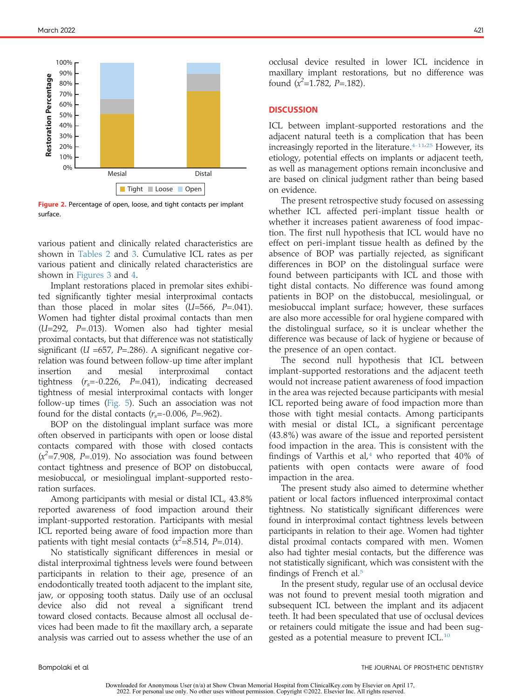<span id="page-3-0"></span>

Figure 2. Percentage of open, loose, and tight contacts per implant surface.

various patient and clinically related characteristics are shown in [Tables 2](#page-4-0) and [3](#page-4-1). Cumulative ICL rates as per various patient and clinically related characteristics are shown in [Figures 3](#page-5-0) and [4](#page-5-1).

Implant restorations placed in premolar sites exhibited significantly tighter mesial interproximal contacts than those placed in molar sites  $(U=566, P=.041)$ . Women had tighter distal proximal contacts than men (U=292, P=.013). Women also had tighter mesial proximal contacts, but that difference was not statistically significant ( $U = 657$ , P=.286). A significant negative correlation was found between follow-up time after implant insertion and mesial interproximal contact tightness  $(r_s=-0.226, P=.041)$ , indicating decreased tightness of mesial interproximal contacts with longer follow-up times ([Fig. 5](#page-6-20)). Such an association was not found for the distal contacts  $(r<sub>s</sub>=-0.006, P=.962)$ .

BOP on the distolingual implant surface was more often observed in participants with open or loose distal contacts compared with those with closed contacts  $(x^2=7.908, P=.019)$ . No association was found between contact tightness and presence of BOP on distobuccal, mesiobuccal, or mesiolingual implant-supported restoration surfaces.

Among participants with mesial or distal ICL, 43.8% reported awareness of food impaction around their implant-supported restoration. Participants with mesial ICL reported being aware of food impaction more than patients with tight mesial contacts ( $x^2$ =8.514, P=.014).

No statistically significant differences in mesial or distal interproximal tightness levels were found between participants in relation to their age, presence of an endodontically treated tooth adjacent to the implant site, jaw, or opposing tooth status. Daily use of an occlusal device also did not reveal a significant trend toward closed contacts. Because almost all occlusal devices had been made to fit the maxillary arch, a separate analysis was carried out to assess whether the use of an

occlusal device resulted in lower ICL incidence in maxillary implant restorations, but no difference was found  $(x^2=1.782, P=.182)$ .

## **DISCUSSION**

ICL between implant-supported restorations and the adjacent natural teeth is a complication that has been increasingly reported in the literature. $4-11/25$  $4-11/25$  However, its etiology, potential effects on implants or adjacent teeth, as well as management options remain inconclusive and are based on clinical judgment rather than being based on evidence.

The present retrospective study focused on assessing whether ICL affected peri-implant tissue health or whether it increases patient awareness of food impaction. The first null hypothesis that ICL would have no effect on peri-implant tissue health as defined by the absence of BOP was partially rejected, as significant differences in BOP on the distolingual surface were found between participants with ICL and those with tight distal contacts. No difference was found among patients in BOP on the distobuccal, mesiolingual, or mesiobuccal implant surface; however, these surfaces are also more accessible for oral hygiene compared with the distolingual surface, so it is unclear whether the difference was because of lack of hygiene or because of the presence of an open contact.

The second null hypothesis that ICL between implant-supported restorations and the adjacent teeth would not increase patient awareness of food impaction in the area was rejected because participants with mesial ICL reported being aware of food impaction more than those with tight mesial contacts. Among participants with mesial or distal ICL, a significant percentage (43.8%) was aware of the issue and reported persistent food impaction in the area. This is consistent with the findings of Varthis et al,<sup>[4](#page-6-3)</sup> who reported that  $40\%$  of patients with open contacts were aware of food impaction in the area.

The present study also aimed to determine whether patient or local factors influenced interproximal contact tightness. No statistically significant differences were found in interproximal contact tightness levels between participants in relation to their age. Women had tighter distal proximal contacts compared with men. Women also had tighter mesial contacts, but the difference was not statistically significant, which was consistent with the findings of French et al.<sup>5</sup>

In the present study, regular use of an occlusal device was not found to prevent mesial tooth migration and subsequent ICL between the implant and its adjacent teeth. It had been speculated that use of occlusal devices or retainers could mitigate the issue and had been sug-gested as a potential measure to prevent ICL.<sup>[10](#page-6-9)</sup>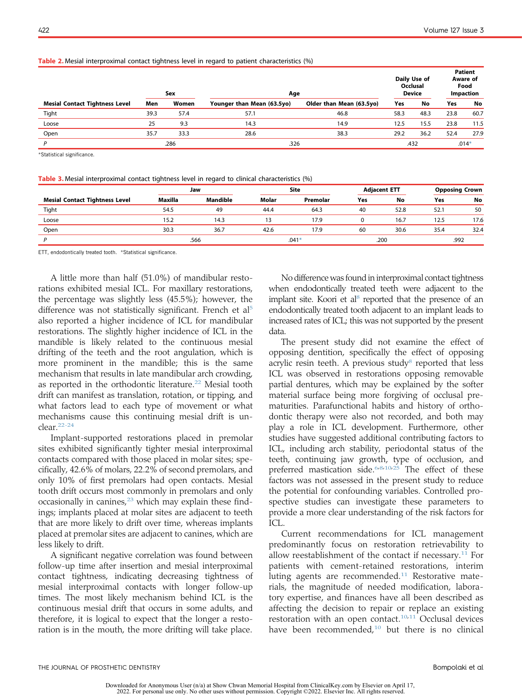#### <span id="page-4-0"></span>Table 2. Mesial interproximal contact tightness level in regard to patient characteristics (%)

|                                       | Sex  |       | Age                        |                          | Daily Use of<br>Occlusal<br><b>Device</b> |      | <b>Patient</b><br>Aware of<br>Food<br><b>Impaction</b> |         |
|---------------------------------------|------|-------|----------------------------|--------------------------|-------------------------------------------|------|--------------------------------------------------------|---------|
| <b>Mesial Contact Tightness Level</b> | Men  | Women | Younger than Mean (63.5yo) | Older than Mean (63.5yo) | Yes                                       | No   | <b>Yes</b>                                             | No      |
| Tight                                 | 39.3 | 57.4  | 57.1                       | 46.8                     | 58.3                                      | 48.3 | 23.8                                                   | 60.7    |
| Loose                                 | 25   | 9.3   | 14.3                       | 14.9                     | 12.5                                      | 15.5 | 23.8                                                   | 11.5    |
| Open                                  | 35.7 | 33.3  | 28.6                       | 38.3                     | 29.2                                      | 36.2 | 52.4                                                   | 27.9    |
| P                                     |      | .286  | .326                       |                          |                                           | .432 |                                                        | $.014*$ |

<span id="page-4-2"></span>\*Statistical significance.

<span id="page-4-1"></span>Table 3. Mesial interproximal contact tightness level in regard to clinical characteristics (%)

|                                       | Jaw     |                 | <b>Site</b> |          | <b>Adjacent ETT</b> |      | <b>Opposing Crown</b> |      |
|---------------------------------------|---------|-----------------|-------------|----------|---------------------|------|-----------------------|------|
| <b>Mesial Contact Tightness Level</b> | Maxilla | <b>Mandible</b> | Molar       | Premolar | Yes                 | No   | Yes                   | No   |
| Tight                                 | 54.5    | 49              | 44.4        | 64.3     | 40                  | 52.8 | 52.1                  | 50   |
| Loose                                 | 15.2    | 14.3            | 13          | 17.9     |                     | 16.7 | 12.5                  | 17.6 |
| Open                                  | 30.3    | 36.7            | 42.6        | 17.9     | 60                  | 30.6 | 35.4                  | 32.4 |
|                                       |         | .566            |             | $.041*$  |                     | .200 |                       | .992 |

<span id="page-4-3"></span>ETT, endodontically treated tooth. \*Statistical significance.

A little more than half (51.0%) of mandibular restorations exhibited mesial ICL. For maxillary restorations, the percentage was slightly less (45.5%); however, the difference was not statistically significant. French et al<sup>[5](#page-6-4)</sup> also reported a higher incidence of ICL for mandibular restorations. The slightly higher incidence of ICL in the mandible is likely related to the continuous mesial drifting of the teeth and the root angulation, which is more prominent in the mandible; this is the same mechanism that results in late mandibular arch crowding, as reported in the orthodontic literature.<sup>22</sup> Mesial tooth drift can manifest as translation, rotation, or tipping, and what factors lead to each type of movement or what mechanisms cause this continuing mesial drift is unclear.[22-24](#page-6-22)

Implant-supported restorations placed in premolar sites exhibited significantly tighter mesial interproximal contacts compared with those placed in molar sites; specifically, 42.6% of molars, 22.2% of second premolars, and only 10% of first premolars had open contacts. Mesial tooth drift occurs most commonly in premolars and only occasionally in canines, $23$  which may explain these findings; implants placed at molar sites are adjacent to teeth that are more likely to drift over time, whereas implants placed at premolar sites are adjacent to canines, which are less likely to drift.

A significant negative correlation was found between follow-up time after insertion and mesial interproximal contact tightness, indicating decreasing tightness of mesial interproximal contacts with longer follow-up times. The most likely mechanism behind ICL is the continuous mesial drift that occurs in some adults, and therefore, it is logical to expect that the longer a restoration is in the mouth, the more drifting will take place.

No difference was found in interproximal contact tightness when endodontically treated teeth were adjacent to the implant site. Koori et al<sup>8</sup> reported that the presence of an endodontically treated tooth adjacent to an implant leads to increased rates of ICL; this was not supported by the present data.

The present study did not examine the effect of opposing dentition, specifically the effect of opposing acrylic resin teeth. A previous study<sup>[8](#page-6-7)</sup> reported that less ICL was observed in restorations opposing removable partial dentures, which may be explained by the softer material surface being more forgiving of occlusal prematurities. Parafunctional habits and history of orthodontic therapy were also not recorded, and both may play a role in ICL development. Furthermore, other studies have suggested additional contributing factors to ICL, including arch stability, periodontal status of the teeth, continuing jaw growth, type of occlusion, and preferred mastication side.<sup>[6,](#page-6-5)[8](#page-6-7)[,10,](#page-6-9)[25](#page-6-21)</sup> The effect of these factors was not assessed in the present study to reduce the potential for confounding variables. Controlled prospective studies can investigate these parameters to provide a more clear understanding of the risk factors for ICL.

Current recommendations for ICL management predominantly focus on restoration retrievability to allow reestablishment of the contact if necessary.<sup>[11](#page-6-10)</sup> For patients with cement-retained restorations, interim luting agents are recommended.<sup>[11](#page-6-10)</sup> Restorative materials, the magnitude of needed modification, laboratory expertise, and finances have all been described as affecting the decision to repair or replace an existing restoration with an open contact.<sup>[10,](#page-6-9)[11](#page-6-10)</sup> Occlusal devices have been recommended, $10$  but there is no clinical

Downloaded for Anonymous User (n/a) at Show Chwan Memorial Hospital from ClinicalKey.com by Elsevier on April 17, 2022. For personal use only. No other uses without permission. Copyright ©2022. Elsevier Inc. All rights res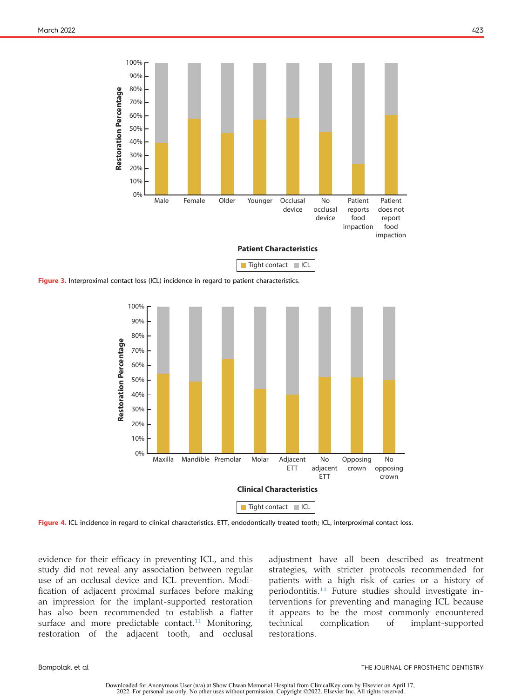<span id="page-5-0"></span>

<span id="page-5-1"></span>Figure 3. Interproximal contact loss (ICL) incidence in regard to patient characteristics.



Figure 4. ICL incidence in regard to clinical characteristics. ETT, endodontically treated tooth; ICL, interproximal contact loss.

evidence for their efficacy in preventing ICL, and this study did not reveal any association between regular use of an occlusal device and ICL prevention. Modification of adjacent proximal surfaces before making an impression for the implant-supported restoration has also been recommended to establish a flatter surface and more predictable contact.<sup>[11](#page-6-10)</sup> Monitoring, restoration of the adjacent tooth, and occlusal

adjustment have all been described as treatment strategies, with stricter protocols recommended for patients with a high risk of caries or a history of periodontitis.<sup>[11](#page-6-10)</sup> Future studies should investigate interventions for preventing and managing ICL because it appears to be the most commonly encountered technical complication of implant-supported restorations.

Downloaded for Anonymous User (n/a) at Show Chwan Memorial Hospital from ClinicalKey.com by Elsevier on April 17, 2022. For personal use only. No other uses without permission. Copyright ©2022. Elsevier Inc. All rights res